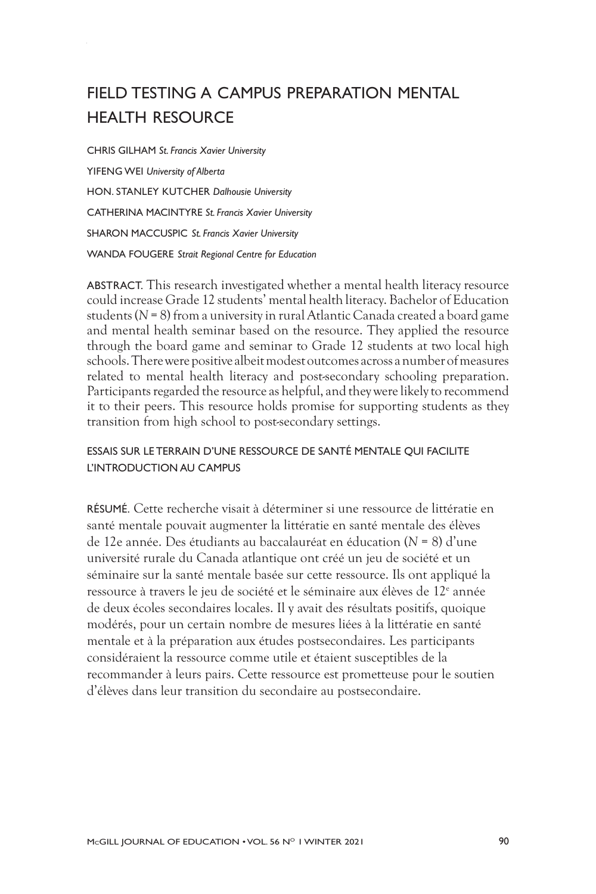# FIELD TESTING A CAMPUS PREPARATION MENTAL HEALTH RESOURCE

CHRIS GILHAM *St. Francis Xavier University* YIFENG WEI *University of Alberta* HON. STANLEY KUTCHER *Dalhousie University* CATHERINA MACINTYRE *St. Francis Xavier University* SHARON MACCUSPIC *St. Francis Xavier University* WANDA FOUGERE *Strait Regional Centre for Education*

ABSTRACT. This research investigated whether a mental health literacy resource could increase Grade 12 students' mental health literacy. Bachelor of Education students (*N* = 8) from a university in rural Atlantic Canada created a board game and mental health seminar based on the resource. They applied the resource through the board game and seminar to Grade 12 students at two local high schools. There were positive albeit modest outcomes across a number of measures related to mental health literacy and post-secondary schooling preparation. Participants regarded the resource as helpful, and they were likely to recommend it to their peers. This resource holds promise for supporting students as they transition from high school to post-secondary settings.

#### ESSAIS SUR LE TERRAIN D'UNE RESSOURCE DE SANTÉ MENTALE QUI FACILITE L'INTRODUCTION AU CAMPUS

RÉSUMÉ. Cette recherche visait à déterminer si une ressource de littératie en santé mentale pouvait augmenter la littératie en santé mentale des élèves de 12e année. Des étudiants au baccalauréat en éducation (*N* = 8) d'une université rurale du Canada atlantique ont créé un jeu de société et un séminaire sur la santé mentale basée sur cette ressource. Ils ont appliqué la ressource à travers le jeu de société et le séminaire aux élèves de 12<sup>e</sup> année de deux écoles secondaires locales. Il y avait des résultats positifs, quoique modérés, pour un certain nombre de mesures liées à la littératie en santé mentale et à la préparation aux études postsecondaires. Les participants considéraient la ressource comme utile et étaient susceptibles de la recommander à leurs pairs. Cette ressource est prometteuse pour le soutien d'élèves dans leur transition du secondaire au postsecondaire.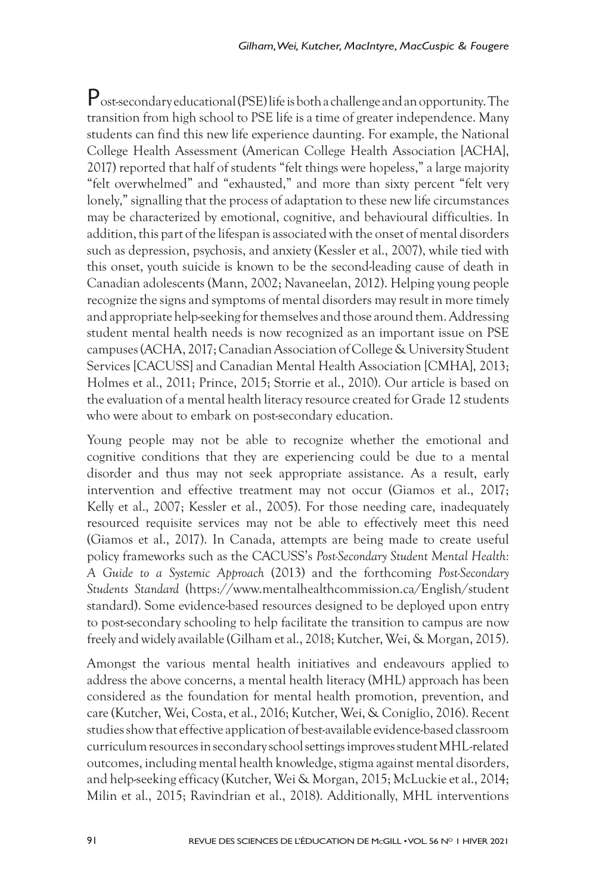Post-secondary educational (PSE) life is both a challenge and an opportunity. The transition from high school to PSE life is a time of greater independence. Many students can find this new life experience daunting. For example, the National College Health Assessment (American College Health Association [ACHA], 2017) reported that half of students "felt things were hopeless," a large majority "felt overwhelmed" and "exhausted," and more than sixty percent "felt very lonely," signalling that the process of adaptation to these new life circumstances may be characterized by emotional, cognitive, and behavioural difficulties. In addition, this part of the lifespan is associated with the onset of mental disorders such as depression, psychosis, and anxiety (Kessler et al., 2007), while tied with this onset, youth suicide is known to be the second-leading cause of death in Canadian adolescents (Mann, 2002; Navaneelan, 2012). Helping young people recognize the signs and symptoms of mental disorders may result in more timely and appropriate help-seeking for themselves and those around them. Addressing student mental health needs is now recognized as an important issue on PSE campuses (ACHA, 2017; Canadian Association of College & University Student Services [CACUSS] and Canadian Mental Health Association [CMHA], 2013; Holmes et al., 2011; Prince, 2015; Storrie et al., 2010). Our article is based on the evaluation of a mental health literacy resource created for Grade 12 students who were about to embark on post-secondary education.

Young people may not be able to recognize whether the emotional and cognitive conditions that they are experiencing could be due to a mental disorder and thus may not seek appropriate assistance. As a result, early intervention and effective treatment may not occur (Giamos et al., 2017; Kelly et al., 2007; Kessler et al., 2005). For those needing care, inadequately resourced requisite services may not be able to effectively meet this need (Giamos et al., 2017). In Canada, attempts are being made to create useful policy frameworks such as the CACUSS's *Post-Secondary Student Mental Health: A Guide to a Systemic Approach* (2013) and the forthcoming *Post-Secondary Students Standard* (https://www.mentalhealthcommission.ca/English/student standard). Some evidence-based resources designed to be deployed upon entry to post-secondary schooling to help facilitate the transition to campus are now freely and widely available (Gilham et al., 2018; Kutcher, Wei, & Morgan, 2015).

Amongst the various mental health initiatives and endeavours applied to address the above concerns, a mental health literacy (MHL) approach has been considered as the foundation for mental health promotion, prevention, and care (Kutcher, Wei, Costa, et al., 2016; Kutcher, Wei, & Coniglio, 2016). Recent studies show that effective application of best-available evidence-based classroom curriculum resources in secondary school settings improves student MHL-related outcomes, including mental health knowledge, stigma against mental disorders, and help-seeking efficacy (Kutcher, Wei & Morgan, 2015; McLuckie et al., 2014; Milin et al., 2015; Ravindrian et al., 2018). Additionally, MHL interventions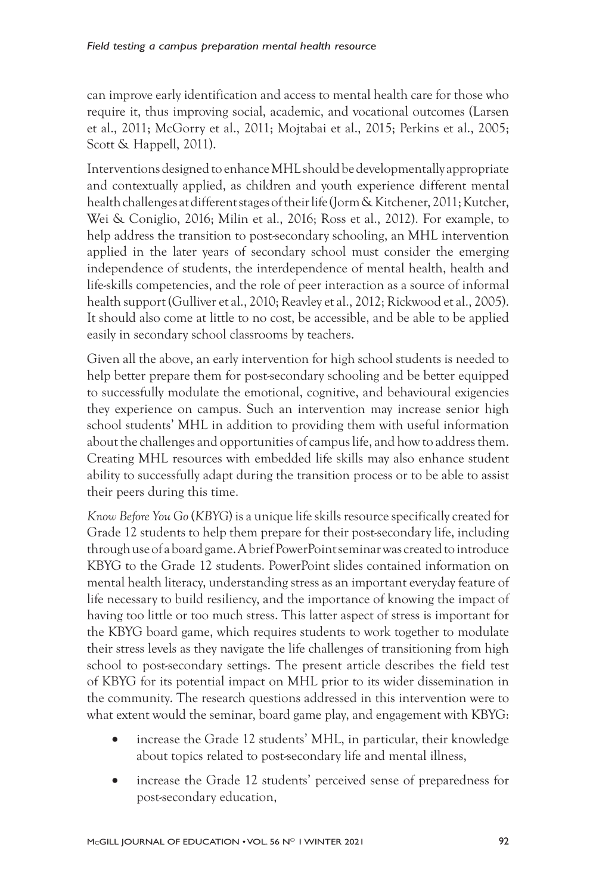can improve early identification and access to mental health care for those who require it, thus improving social, academic, and vocational outcomes (Larsen et al., 2011; McGorry et al., 2011; Mojtabai et al., 2015; Perkins et al., 2005; Scott & Happell, 2011).

Interventions designed to enhance MHL should be developmentally appropriate and contextually applied, as children and youth experience different mental health challenges at different stages of their life (Jorm& Kitchener, 2011; Kutcher, Wei & Coniglio, 2016; Milin et al., 2016; Ross et al., 2012). For example, to help address the transition to post-secondary schooling, an MHL intervention applied in the later years of secondary school must consider the emerging independence of students, the interdependence of mental health, health and life-skills competencies, and the role of peer interaction as a source of informal health support (Gulliver et al., 2010; Reavley et al., 2012; Rickwood et al., 2005). It should also come at little to no cost, be accessible, and be able to be applied easily in secondary school classrooms by teachers.

Given all the above, an early intervention for high school students is needed to help better prepare them for post-secondary schooling and be better equipped to successfully modulate the emotional, cognitive, and behavioural exigencies they experience on campus. Such an intervention may increase senior high school students' MHL in addition to providing them with useful information about the challenges and opportunities of campus life, and how to address them. Creating MHL resources with embedded life skills may also enhance student ability to successfully adapt during the transition process or to be able to assist their peers during this time.

*Know Before You Go* (*KBYG*) is a unique life skills resource specifically created for Grade 12 students to help them prepare for their post-secondary life, including through use of a board game. A brief PowerPoint seminar was created to introduce KBYG to the Grade 12 students. PowerPoint slides contained information on mental health literacy, understanding stress as an important everyday feature of life necessary to build resiliency, and the importance of knowing the impact of having too little or too much stress. This latter aspect of stress is important for the KBYG board game, which requires students to work together to modulate their stress levels as they navigate the life challenges of transitioning from high school to post-secondary settings. The present article describes the field test of KBYG for its potential impact on MHL prior to its wider dissemination in the community. The research questions addressed in this intervention were to what extent would the seminar, board game play, and engagement with KBYG:

- increase the Grade 12 students' MHL, in particular, their knowledge about topics related to post-secondary life and mental illness,
- increase the Grade 12 students' perceived sense of preparedness for post-secondary education,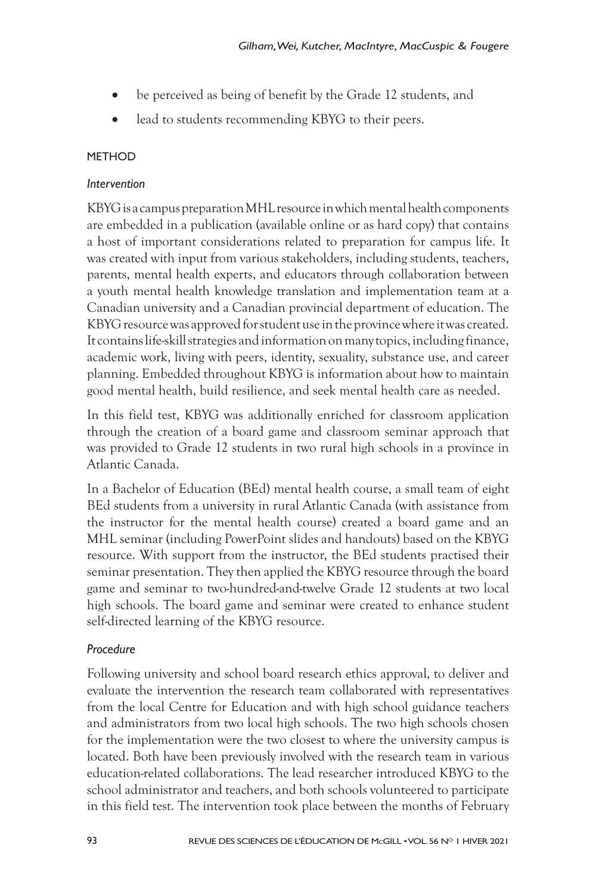- be perceived as being of benefit by the Grade 12 students, and
- lead to students recommending KBYG to their peers.

## **METHOD**

## *Intervention*

KBYG is a campus preparation MHL resource in which mental health components are embedded in a publication (available online or as hard copy) that contains a host of important considerations related to preparation for campus life. It was created with input from various stakeholders, including students, teachers, parents, mental health experts, and educators through collaboration between a youth mental health knowledge translation and implementation team at a Canadian university and a Canadian provincial department of education. The KBYG resource was approved for student use in the province where it was created. It contains life-skill strategies and information on many topics, including finance, academic work, living with peers, identity, sexuality, substance use, and career planning. Embedded throughout KBYG is information about how to maintain good mental health, build resilience, and seek mental health care as needed.

In this field test, KBYG was additionally enriched for classroom application through the creation of a board game and classroom seminar approach that was provided to Grade 12 students in two rural high schools in a province in Atlantic Canada.

In a Bachelor of Education (BEd) mental health course, a small team of eight BEd students from a university in rural Atlantic Canada (with assistance from the instructor for the mental health course) created a board game and an MHL seminar (including PowerPoint slides and handouts) based on the KBYG resource. With support from the instructor, the BEd students practised their seminar presentation. They then applied the KBYG resource through the board game and seminar to two-hundred-and-twelve Grade 12 students at two local high schools. The board game and seminar were created to enhance student self-directed learning of the KBYG resource.

# *Procedure*

Following university and school board research ethics approval, to deliver and evaluate the intervention the research team collaborated with representatives from the local Centre for Education and with high school guidance teachers and administrators from two local high schools. The two high schools chosen for the implementation were the two closest to where the university campus is located. Both have been previously involved with the research team in various education-related collaborations. The lead researcher introduced KBYG to the school administrator and teachers, and both schools volunteered to participate in this field test. The intervention took place between the months of February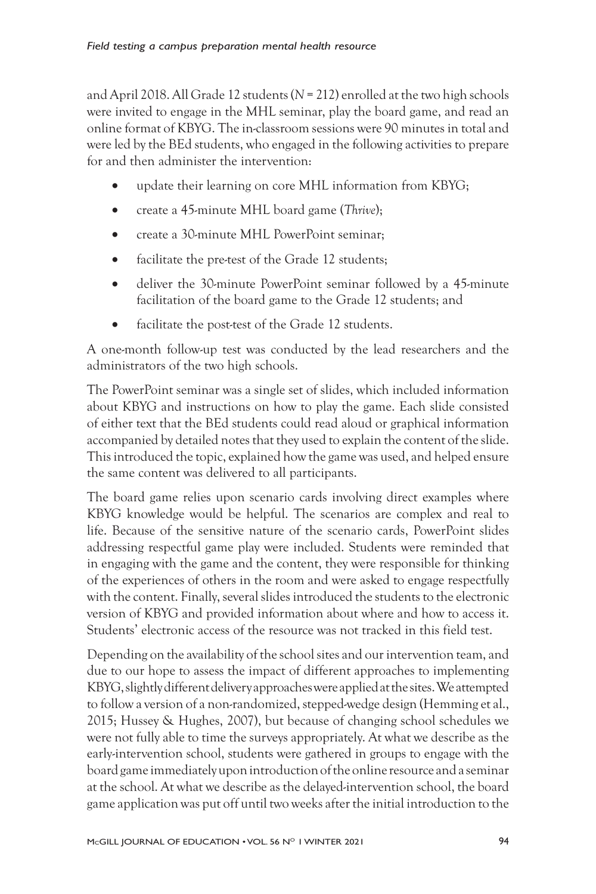and April 2018. All Grade 12 students (*N* = 212) enrolled at the two high schools were invited to engage in the MHL seminar, play the board game, and read an online format of KBYG. The in-classroom sessions were 90 minutes in total and were led by the BEd students, who engaged in the following activities to prepare for and then administer the intervention:

- update their learning on core MHL information from KBYG;
- • create a 45-minute MHL board game (*Thrive*);
- create a 30-minute MHL PowerPoint seminar:
- facilitate the pre-test of the Grade 12 students;
- deliver the 30-minute PowerPoint seminar followed by a 45-minute facilitation of the board game to the Grade 12 students; and
- facilitate the post-test of the Grade 12 students.

A one-month follow-up test was conducted by the lead researchers and the administrators of the two high schools.

The PowerPoint seminar was a single set of slides, which included information about KBYG and instructions on how to play the game. Each slide consisted of either text that the BEd students could read aloud or graphical information accompanied by detailed notes that they used to explain the content of the slide. This introduced the topic, explained how the game was used, and helped ensure the same content was delivered to all participants.

The board game relies upon scenario cards involving direct examples where KBYG knowledge would be helpful. The scenarios are complex and real to life. Because of the sensitive nature of the scenario cards, PowerPoint slides addressing respectful game play were included. Students were reminded that in engaging with the game and the content, they were responsible for thinking of the experiences of others in the room and were asked to engage respectfully with the content. Finally, several slides introduced the students to the electronic version of KBYG and provided information about where and how to access it. Students' electronic access of the resource was not tracked in this field test.

Depending on the availability of the school sites and our intervention team, and due to our hope to assess the impact of different approaches to implementing KBYG, slightly different delivery approaches were applied at the sites. We attempted to follow a version of a non-randomized, stepped-wedge design (Hemming et al., 2015; Hussey & Hughes, 2007), but because of changing school schedules we were not fully able to time the surveys appropriately. At what we describe as the early-intervention school, students were gathered in groups to engage with the board game immediately upon introduction of the online resource and a seminar at the school. At what we describe as the delayed-intervention school, the board game application was put off until two weeks after the initial introduction to the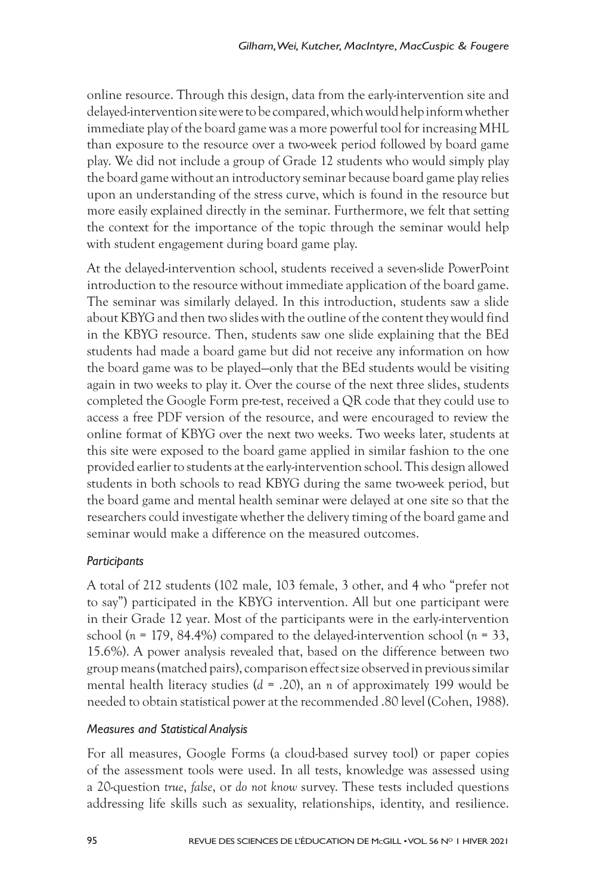online resource. Through this design, data from the early-intervention site and delayed-intervention site were to be compared, which would help inform whether immediate play of the board game was a more powerful tool for increasing MHL than exposure to the resource over a two-week period followed by board game play. We did not include a group of Grade 12 students who would simply play the board game without an introductory seminar because board game play relies upon an understanding of the stress curve, which is found in the resource but more easily explained directly in the seminar. Furthermore, we felt that setting the context for the importance of the topic through the seminar would help with student engagement during board game play.

At the delayed-intervention school, students received a seven-slide PowerPoint introduction to the resource without immediate application of the board game. The seminar was similarly delayed. In this introduction, students saw a slide about KBYG and then two slides with the outline of the content they would find in the KBYG resource. Then, students saw one slide explaining that the BEd students had made a board game but did not receive any information on how the board game was to be played—only that the BEd students would be visiting again in two weeks to play it. Over the course of the next three slides, students completed the Google Form pre-test, received a QR code that they could use to access a free PDF version of the resource, and were encouraged to review the online format of KBYG over the next two weeks. Two weeks later, students at this site were exposed to the board game applied in similar fashion to the one provided earlier to students at the early-intervention school. This design allowed students in both schools to read KBYG during the same two-week period, but the board game and mental health seminar were delayed at one site so that the researchers could investigate whether the delivery timing of the board game and seminar would make a difference on the measured outcomes.

# *Participants*

A total of 212 students (102 male, 103 female, 3 other, and 4 who "prefer not to say") participated in the KBYG intervention. All but one participant were in their Grade 12 year. Most of the participants were in the early-intervention school (*n* = 179, 84.4%) compared to the delayed-intervention school (*n* = 33, 15.6%). A power analysis revealed that, based on the difference between two group means (matched pairs), comparison effect size observed in previous similar mental health literacy studies (*d* = .20), an *n* of approximately 199 would be needed to obtain statistical power at the recommended .80 level (Cohen, 1988).

## *Measures and Statistical Analysis*

For all measures, Google Forms (a cloud-based survey tool) or paper copies of the assessment tools were used. In all tests, knowledge was assessed using a 20-question *true*, *false*, or *do not know* survey. These tests included questions addressing life skills such as sexuality, relationships, identity, and resilience.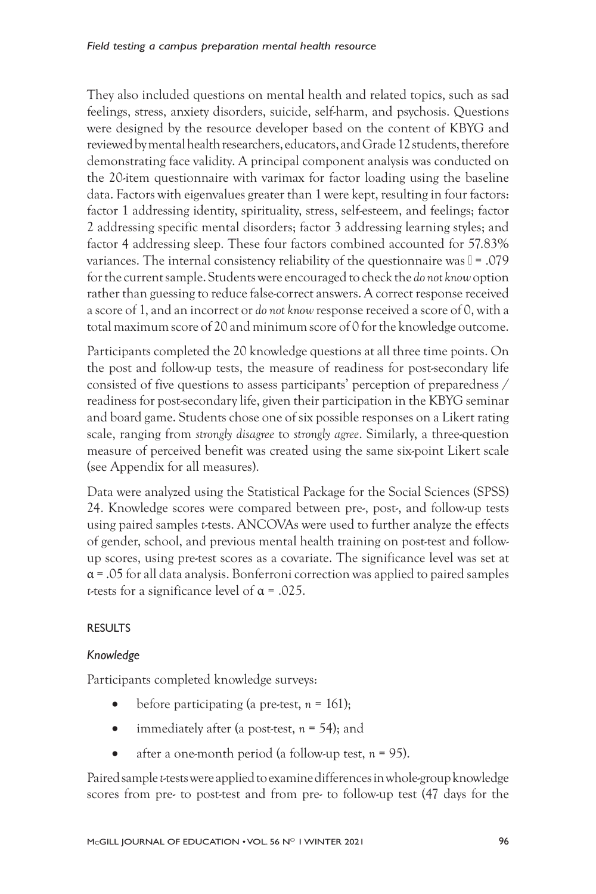They also included questions on mental health and related topics, such as sad feelings, stress, anxiety disorders, suicide, self-harm, and psychosis. Questions were designed by the resource developer based on the content of KBYG and reviewed by mental health researchers, educators, and Grade 12 students, therefore demonstrating face validity. A principal component analysis was conducted on the 20-item questionnaire with varimax for factor loading using the baseline data. Factors with eigenvalues greater than 1 were kept, resulting in four factors: factor 1 addressing identity, spirituality, stress, self-esteem, and feelings; factor 2 addressing specific mental disorders; factor 3 addressing learning styles; and factor 4 addressing sleep. These four factors combined accounted for 57.83% variances. The internal consistency reliability of the questionnaire was  $\mathbb{I} = .079$ for the current sample. Students were encouraged to check the *do not know* option rather than guessing to reduce false-correct answers. A correct response received a score of 1, and an incorrect or *do not know* response received a score of 0, with a total maximum score of 20 and minimum score of 0 for the knowledge outcome.

Participants completed the 20 knowledge questions at all three time points. On the post and follow-up tests, the measure of readiness for post-secondary life consisted of five questions to assess participants' perception of preparedness / readiness for post-secondary life, given their participation in the KBYG seminar and board game. Students chose one of six possible responses on a Likert rating scale, ranging from *strongly disagree* to *strongly agree*. Similarly, a three-question measure of perceived benefit was created using the same six-point Likert scale (see Appendix for all measures).

Data were analyzed using the Statistical Package for the Social Sciences (SPSS) 24. Knowledge scores were compared between pre-, post-, and follow-up tests using paired samples *t*-tests. ANCOVAs were used to further analyze the effects of gender, school, and previous mental health training on post-test and followup scores, using pre-test scores as a covariate. The significance level was set at  $\alpha$  = .05 for all data analysis. Bonferroni correction was applied to paired samples *t*-tests for a significance level of α = .025.

## RESULTS

## *Knowledge*

Participants completed knowledge surveys:

- before participating (a pre-test,  $n = 161$ );
- immediately after (a post-test,  $n = 54$ ); and
- after a one-month period (a follow-up test,  $n = 95$ ).

Paired sample *t*-tests were applied to examine differences in whole-group knowledge scores from pre- to post-test and from pre- to follow-up test (47 days for the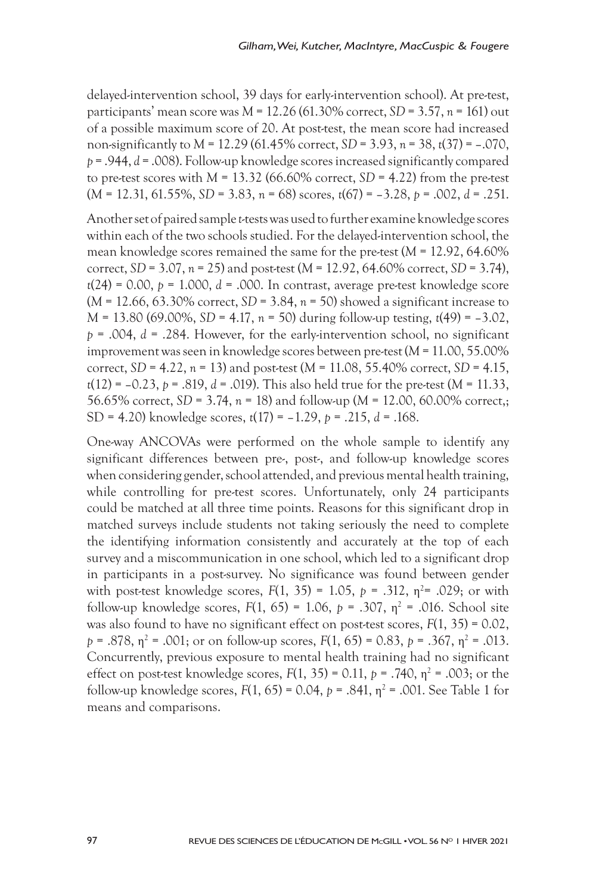delayed-intervention school, 39 days for early-intervention school). At pre-test, participants' mean score was *M* = 12.26 (61.30% correct, *SD* = 3.57, *n* = 161) out of a possible maximum score of 20. At post-test, the mean score had increased non-significantly to *M* = 12.29 (61.45% correct, *SD* = 3.93, *n* = 38, *t*(37) = –.070, *p* = .944, *d* = .008). Follow-up knowledge scores increased significantly compared to pre-test scores with  $M = 13.32$  (66.60% correct,  $SD = 4.22$ ) from the pre-test (*M* = 12.31, 61.55%, *SD* = 3.83, *n* = 68) scores, *t*(67) = –3.28, *p* = .002, *d* = .251.

Another set of paired sample *t*-tests was used to further examine knowledge scores within each of the two schools studied. For the delayed-intervention school, the mean knowledge scores remained the same for the pre-test (*M* = 12.92, 64.60% correct, *SD* = 3.07, *n* = 25) and post-test (*M* = 12.92, 64.60% correct, *SD* = 3.74), *t*(24) = 0.00, *p* = 1.000, *d* = .000. In contrast, average pre-test knowledge score (*M* = 12.66, 63.30% correct, *SD* = 3.84, *n* = 50) showed a significant increase to *M* = 13.80 (69.00%, *SD* = 4.17, *n* = 50) during follow-up testing, *t*(49) = –3.02, *p* = .004, *d* = .284. However, for the early-intervention school, no significant improvement was seen in knowledge scores between pre-test (*M* = 11.00, 55.00% correct, *SD* = 4.22, *n* = 13) and post-test (*M* = 11.08, 55.40% correct, *SD* = 4.15, *t*(12) = –0.23, *p* = .819, *d* = .019). This also held true for the pre-test (*M* = 11.33, 56.65% correct, *SD* = 3.74, *n* = 18) and follow-up (*M* = 12.00, 60.00% correct,; SD = 4.20) knowledge scores, *t*(17) = –1.29, *p* = .215, *d* = .168.

One-way ANCOVAs were performed on the whole sample to identify any significant differences between pre-, post-, and follow-up knowledge scores when considering gender, school attended, and previous mental health training, while controlling for pre-test scores. Unfortunately, only 24 participants could be matched at all three time points. Reasons for this significant drop in matched surveys include students not taking seriously the need to complete the identifying information consistently and accurately at the top of each survey and a miscommunication in one school, which led to a significant drop in participants in a post-survey. No significance was found between gender with post-test knowledge scores,  $F(1, 35) = 1.05$ ,  $p = .312$ ,  $n^2 = .029$ ; or with follow-up knowledge scores,  $F(1, 65) = 1.06$ ,  $p = .307$ ,  $p^2 = .016$ . School site was also found to have no significant effect on post-test scores, *F*(1, 35) = 0.02,  $p = .878$ ,  $p^2 = .001$ ; or on follow-up scores,  $F(1, 65) = 0.83$ ,  $p = .367$ ,  $p^2 = .013$ . Concurrently, previous exposure to mental health training had no significant effect on post-test knowledge scores,  $F(1, 35) = 0.11$ ,  $p = .740$ ,  $n^2 = .003$ ; or the follow-up knowledge scores,  $F(1, 65) = 0.04$ ,  $p = .841$ ,  $n^2 = .001$ . See Table 1 for means and comparisons.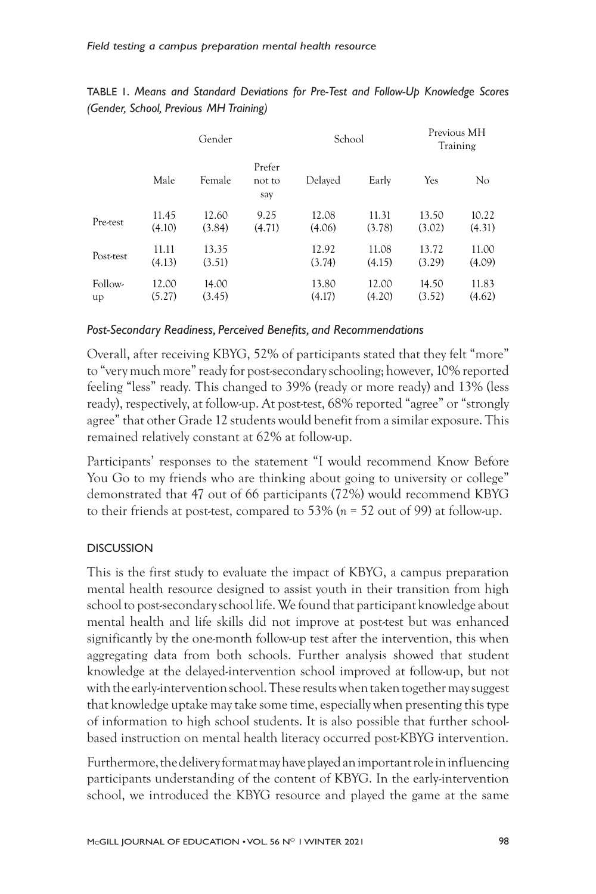|               | Gender          |                 |                         | School          |                 | Previous MH<br>Training |                 |
|---------------|-----------------|-----------------|-------------------------|-----------------|-----------------|-------------------------|-----------------|
|               | Male            | Female          | Prefer<br>not to<br>say | Delayed         | Early           | Yes                     | N <sub>o</sub>  |
| Pre-test      | 11.45<br>(4.10) | 12.60<br>(3.84) | 9.25<br>(4.71)          | 12.08<br>(4.06) | 11.31<br>(3.78) | 13.50<br>(3.02)         | 10.22<br>(4.31) |
| Post-test     | 11.11<br>(4.13) | 13.35<br>(3.51) |                         | 12.92<br>(3.74) | 11.08<br>(4.15) | 13.72<br>(3.29)         | 11.00<br>(4.09) |
| Follow-<br>up | 12.00<br>(5.27) | 14.00<br>(3.45) |                         | 13.80<br>(4.17) | 12.00<br>(4.20) | 14.50<br>(3.52)         | 11.83<br>(4.62) |

TABLE 1. *Means and Standard Deviations for Pre-Test and Follow-Up Knowledge Scores (Gender, School, Previous MH Training)*

#### *Post-Secondary Readiness, Perceived Benefits, and Recommendations*

Overall, after receiving KBYG, 52% of participants stated that they felt "more" to "very much more" ready for post-secondary schooling; however, 10% reported feeling "less" ready. This changed to 39% (ready or more ready) and 13% (less ready), respectively, at follow-up. At post-test, 68% reported "agree" or "strongly agree" that other Grade 12 students would benefit from a similar exposure. This remained relatively constant at 62% at follow-up.

Participants' responses to the statement "I would recommend Know Before You Go to my friends who are thinking about going to university or college" demonstrated that 47 out of 66 participants (72%) would recommend KBYG to their friends at post-test, compared to 53% (*n* = 52 out of 99) at follow-up.

#### **DISCUSSION**

This is the first study to evaluate the impact of KBYG, a campus preparation mental health resource designed to assist youth in their transition from high school to post-secondary school life. We found that participant knowledge about mental health and life skills did not improve at post-test but was enhanced significantly by the one-month follow-up test after the intervention, this when aggregating data from both schools. Further analysis showed that student knowledge at the delayed-intervention school improved at follow-up, but not with the early-intervention school. These results when taken together may suggest that knowledge uptake may take some time, especially when presenting this type of information to high school students. It is also possible that further schoolbased instruction on mental health literacy occurred post-KBYG intervention.

Furthermore, the delivery format may have played an important role in influencing participants understanding of the content of KBYG. In the early-intervention school, we introduced the KBYG resource and played the game at the same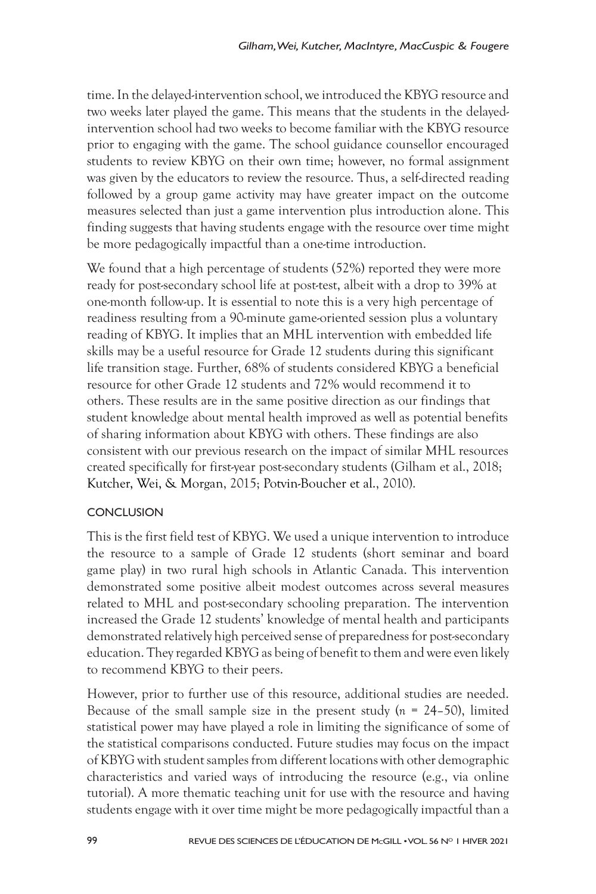time. In the delayed-intervention school, we introduced the KBYG resource and two weeks later played the game. This means that the students in the delayedintervention school had two weeks to become familiar with the KBYG resource prior to engaging with the game. The school guidance counsellor encouraged students to review KBYG on their own time; however, no formal assignment was given by the educators to review the resource. Thus, a self-directed reading followed by a group game activity may have greater impact on the outcome measures selected than just a game intervention plus introduction alone. This finding suggests that having students engage with the resource over time might be more pedagogically impactful than a one-time introduction.

We found that a high percentage of students (52%) reported they were more ready for post-secondary school life at post-test, albeit with a drop to 39% at one-month follow-up. It is essential to note this is a very high percentage of readiness resulting from a 90-minute game-oriented session plus a voluntary reading of KBYG. It implies that an MHL intervention with embedded life skills may be a useful resource for Grade 12 students during this significant life transition stage. Further, 68% of students considered KBYG a beneficial resource for other Grade 12 students and 72% would recommend it to others. These results are in the same positive direction as our findings that student knowledge about mental health improved as well as potential benefits of sharing information about KBYG with others. These findings are also consistent with our previous research on the impact of similar MHL resources created specifically for first-year post-secondary students (Gilham et al., 2018; Kutcher, Wei, & Morgan, 2015; Potvin-Boucher et al., 2010).

## **CONCLUSION**

This is the first field test of KBYG. We used a unique intervention to introduce the resource to a sample of Grade 12 students (short seminar and board game play) in two rural high schools in Atlantic Canada. This intervention demonstrated some positive albeit modest outcomes across several measures related to MHL and post-secondary schooling preparation. The intervention increased the Grade 12 students' knowledge of mental health and participants demonstrated relatively high perceived sense of preparedness for post-secondary education. They regarded KBYG as being of benefit to them and were even likely to recommend KBYG to their peers.

However, prior to further use of this resource, additional studies are needed. Because of the small sample size in the present study (*n* = 24–50), limited statistical power may have played a role in limiting the significance of some of the statistical comparisons conducted. Future studies may focus on the impact of KBYG with student samples from different locations with other demographic characteristics and varied ways of introducing the resource (e.g., via online tutorial). A more thematic teaching unit for use with the resource and having students engage with it over time might be more pedagogically impactful than a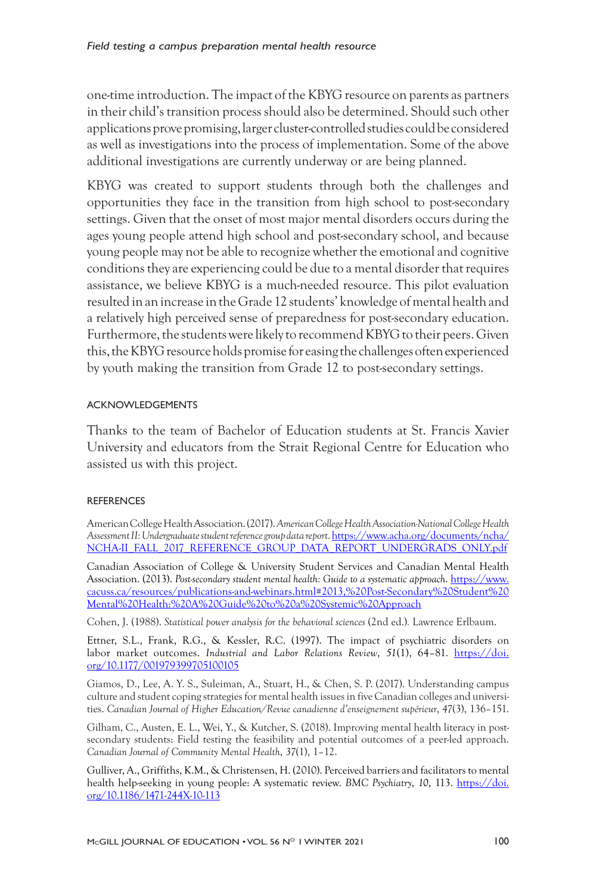one-time introduction. The impact of the KBYG resource on parents as partners in their child's transition process should also be determined. Should such other applications prove promising, larger cluster-controlled studies could be considered as well as investigations into the process of implementation. Some of the above additional investigations are currently underway or are being planned.

KBYG was created to support students through both the challenges and opportunities they face in the transition from high school to post-secondary settings. Given that the onset of most major mental disorders occurs during the ages young people attend high school and post-secondary school, and because young people may not be able to recognize whether the emotional and cognitive conditions they are experiencing could be due to a mental disorder that requires assistance, we believe KBYG is a much-needed resource. This pilot evaluation resulted in an increase in the Grade 12 students' knowledge of mental health and a relatively high perceived sense of preparedness for post-secondary education. Furthermore, the students were likely to recommend KBYG to their peers. Given this, the KBYG resource holds promise for easing the challenges often experienced by youth making the transition from Grade 12 to post-secondary settings.

#### ACKNOWLEDGEMENTS

Thanks to the team of Bachelor of Education students at St. Francis Xavier University and educators from the Strait Regional Centre for Education who assisted us with this project.

#### REFERENCES

American College Health Association. (2017). *American College Health Association-National College Health Assessment II: Undergraduate student reference group data report*. https://www.acha.org/documents/ncha/ NCHA-II\_FALL\_2017\_REFERENCE\_GROUP\_DATA\_REPORT\_UNDERGRADS\_ONLY.pdf

Canadian Association of College & University Student Services and Canadian Mental Health Association. (2013). *Post-secondary student mental health: Guide to a systematic approach*. https://www. cacuss.ca/resources/publications-and-webinars.html#2013,%20Post-Secondary%20Student%20 Mental%20Health:%20A%20Guide%20to%20a%20Systemic%20Approach

Cohen, J. (1988). *Statistical power analysis for the behavioral sciences* (2nd ed.)*.* Lawrence Erlbaum.

Ettner, S.L., Frank, R.G., & Kessler, R.C. (1997). The impact of psychiatric disorders on labor market outcomes. *Industrial and Labor Relations Review*, *51*(1), 64–81. https://doi. org/10.1177/001979399705100105

Giamos, D., Lee, A. Y. S., Suleiman, A., Stuart, H., & Chen, S. P. (2017). Understanding campus culture and student coping strategies for mental health issues in five Canadian colleges and universities. *Canadian Journal of Higher Education/Revue canadienne d'enseignement supérieur*, *47*(3), 136–151.

Gilham, C., Austen, E. L., Wei, Y., & Kutcher, S. (2018). Improving mental health literacy in postsecondary students: Field testing the feasibility and potential outcomes of a peer-led approach. *Canadian Journal of Community Mental Health*, *37*(1), 1–12.

Gulliver, A., Griffiths, K.M., & Christensen, H. (2010). Perceived barriers and facilitators to mental health help-seeking in young people: A systematic review. *BMC Psychiatry*, *10*, 113. https://doi. org/10.1186/1471-244X-10-113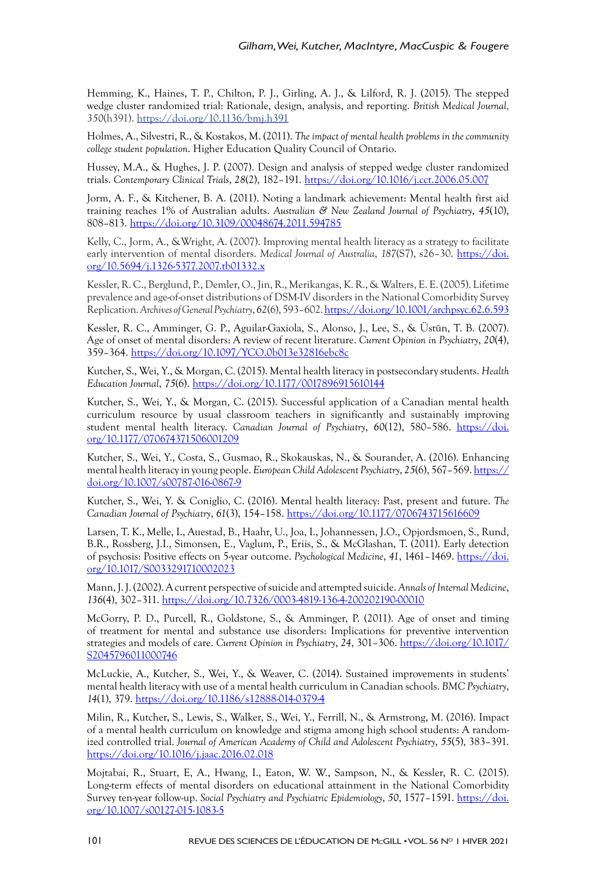Hemming, K., Haines, T. P., Chilton, P. J., Girling, A. J., & Lilford, R. J. (2015). The stepped wedge cluster randomized trial: Rationale, design, analysis, and reporting. *British Medical Journal*, *350*(h391). https://doi.org/10.1136/bmj.h391

Holmes, A., Silvestri, R., & Kostakos, M. (2011). *The impact of mental health problems in the community college student population*. Higher Education Quality Council of Ontario.

Hussey, M.A., & Hughes, J. P. (2007). Design and analysis of stepped wedge cluster randomized trials. *Contemporary Clinical Trials*, *28*(2), 182–191. https://doi.org/10.1016/j.cct.2006.05.007

Jorm, A. F., & Kitchener, B. A. (2011). Noting a landmark achievement: Mental health first aid training reaches 1% of Australian adults. *Australian & New Zealand Journal of Psychiatry*, *45*(10), 808–813. https://doi.org/10.3109/00048674.2011.594785

Kelly, C., Jorm, A., &Wright, A. (2007). Improving mental health literacy as a strategy to facilitate early intervention of mental disorders. *Medical Journal of Australia*, 187(S7), s26-30. https://doi. org/10.5694/j.1326-5377.2007.tb01332.x

Kessler, R. C., Berglund, P., Demler, O., Jin, R., Merikangas, K. R., & Walters, E. E. (2005). Lifetime prevalence and age-of-onset distributions of DSM-IV disorders in the National Comorbidity Survey Replication. *Archives of General Psychiatry*, *62*(6), 593–602. https://doi.org/10.1001/archpsyc.62.6.593

Kessler, R. C., Amminger, G. P., Aguilar-Gaxiola, S., Alonso, J., Lee, S., & Üstün, T. B. (2007). Age of onset of mental disorders: A review of recent literature. *Current Opinion in Psychiatry*, *20*(4), 359–364. https://doi.org/10.1097/YCO.0b013e32816ebc8c

Kutcher, S., Wei, Y., & Morgan, C. (2015). Mental health literacy in postsecondary students. *Health Education Journal*, *75*(6). https://doi.org/10.1177/0017896915610144

Kutcher, S., Wei, Y., & Morgan, C. (2015). Successful application of a Canadian mental health curriculum resource by usual classroom teachers in significantly and sustainably improving student mental health literacy. *Canadian Journal of Psychiatry*, *60*(12), 580–586. https://doi. org/10.1177/070674371506001209

Kutcher, S., Wei, Y., Costa, S., Gusmao, R., Skokauskas, N., & Sourander, A. (2016). Enhancing mental health literacy in young people. *European Child Adolescent Psychiatry*, *25*(6), 567–569. https:// doi.org/10.1007/s00787-016-0867-9

Kutcher, S., Wei, Y. & Coniglio, C. (2016). Mental health literacy: Past, present and future. *The Canadian Journal of Psychiatry*, *61*(3), 154–158. https://doi.org/10.1177/0706743715616609

Larsen, T. K., Melle, I., Auestad, B., Haahr, U., Joa, I., Johannessen, J.O., Opjordsmoen, S., Rund, B.R., Rossberg, J.I., Simonsen, E., Vaglum, P., Eriis, S., & McGlashan, T. (2011). Early detection of psychosis: Positive effects on 5-year outcome. *Psychological Medicine*, *41*, 1461–1469. https://doi. org/10.1017/S0033291710002023

Mann, J. J. (2002). A current perspective of suicide and attempted suicide. *Annals of Internal Medicine*, *136*(4), 302–311. https://doi.org/10.7326/0003-4819-136-4-200202190-00010

McGorry, P. D., Purcell, R., Goldstone, S., & Amminger, P. (2011). Age of onset and timing of treatment for mental and substance use disorders: Implications for preventive intervention strategies and models of care. *Current Opinion in Psychiatry*, *24*, 301–306. https://doi.org/10.1017/ S2045796011000746

McLuckie, A., Kutcher, S., Wei, Y., & Weaver, C. (2014). Sustained improvements in students' mental health literacy with use of a mental health curriculum in Canadian schools. *BMC Psychiatry*, *14*(1), 379. https://doi.org/10.1186/s12888-014-0379-4

Milin, R., Kutcher, S., Lewis, S., Walker, S., Wei, Y., Ferrill, N., & Armstrong, M. (2016). Impact of a mental health curriculum on knowledge and stigma among high school students: A randomized controlled trial. *Journal of American Academy of Child and Adolescent Psychiatry*, *55*(5), 383–391. https://doi.org/10.1016/j.jaac.2016.02.018

Mojtabai, R., Stuart, E, A., Hwang, I., Eaton, W. W., Sampson, N., & Kessler, R. C. (2015). Long-term effects of mental disorders on educational attainment in the National Comorbidity Survey ten-year follow-up. *Social Psychiatry and Psychiatric Epidemiology*, *50*, 1577–1591. https://doi. org/10.1007/s00127-015-1083-5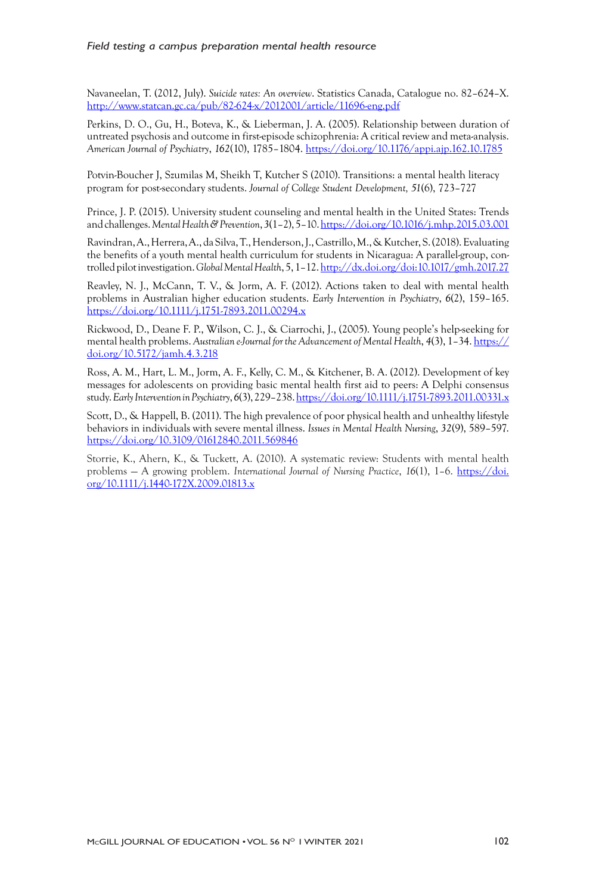Navaneelan, T. (2012, July). *Suicide rates: An overview*. Statistics Canada, Catalogue no. 82–624–X. http://www.statcan.gc.ca/pub/82-624-x/2012001/article/11696-eng.pdf

Perkins, D. O., Gu, H., Boteva, K., & Lieberman, J. A. (2005). Relationship between duration of untreated psychosis and outcome in first-episode schizophrenia: A critical review and meta-analysis. *American Journal of Psychiatry*, *162*(10), 1785–1804. https://doi.org/10.1176/appi.ajp.162.10.1785

Potvin-Boucher J, Szumilas M, Sheikh T, Kutcher S (2010). Transitions: a mental health literacy program for post-secondary students. *Journal of College Student Development, 51*(6), 723–727

Prince, J. P. (2015). University student counseling and mental health in the United States: Trends and challenges. *Mental Health&Prevention*, *3*(1–2), 5–10. https://doi.org/10.1016/j.mhp.2015.03.001

Ravindran, A., Herrera, A., da Silva, T., Henderson, J., Castrillo, M.,& Kutcher, S. (2018). Evaluating the benefits of a youth mental health curriculum for students in Nicaragua: A parallel-group, controlled pilot investigation. *Global Mental Health*, 5, 1–12. http://dx.doi.org/doi:10.1017/gmh.2017.27

Reavley, N. J., McCann, T. V., & Jorm, A. F. (2012). Actions taken to deal with mental health problems in Australian higher education students. *Early Intervention in Psychiatry*, *6*(2), 159–165. https://doi.org/10.1111/j.1751-7893.2011.00294.x

Rickwood, D., Deane F. P., Wilson, C. J., & Ciarrochi, J., (2005). Young people's help-seeking for mental health problems. *Australian e-Journal for the Advancement of Mental Health*, *4*(3), 1–34. https:// doi.org/10.5172/jamh.4.3.218

Ross, A. M., Hart, L. M., Jorm, A. F., Kelly, C. M., & Kitchener, B. A. (2012). Development of key messages for adolescents on providing basic mental health first aid to peers: A Delphi consensus study. *Early Intervention in Psychiatry*, *6*(3), 229–238. https://doi.org/10.1111/j.1751-7893.2011.00331.x

Scott, D., & Happell, B. (2011). The high prevalence of poor physical health and unhealthy lifestyle behaviors in individuals with severe mental illness. *Issues in Mental Health Nursing*, *32*(9), 589–597. https://doi.org/10.3109/01612840.2011.569846

Storrie, K., Ahern, K., & Tuckett, A. (2010). A systematic review: Students with mental health problems — A growing problem. *International Journal of Nursing Practice*, *16*(1), 1–6. https://doi. org/10.1111/j.1440-172X.2009.01813.x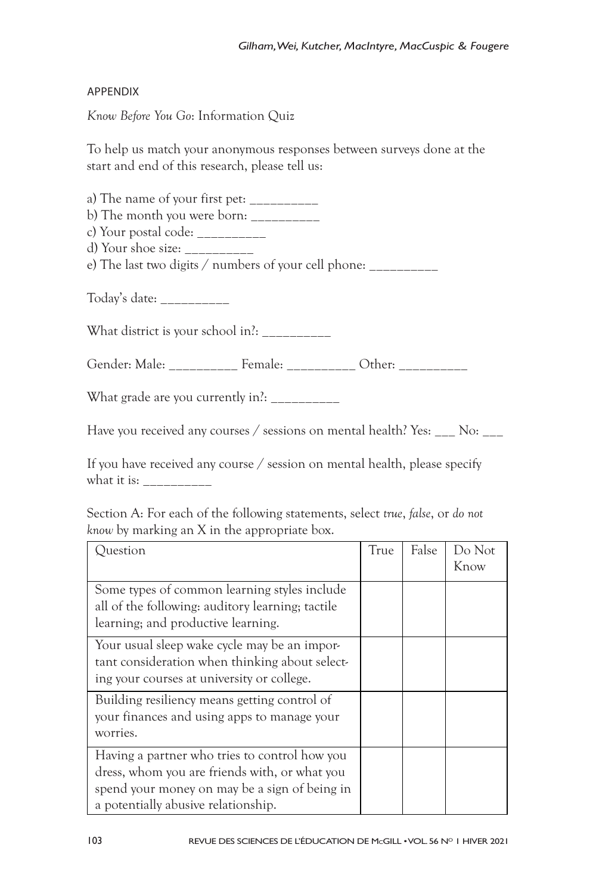#### APPENDIX

*Know Before You Go*: Information Quiz

To help us match your anonymous responses between surveys done at the start and end of this research, please tell us:

a) The name of your first pet:  $\frac{1}{2}$ 

b) The month you were born: \_\_\_\_\_\_\_\_\_\_

c) Your postal code: \_\_\_\_\_\_\_\_\_\_

d) Your shoe size: \_\_\_\_\_\_\_\_\_\_

e) The last two digits / numbers of your cell phone: \_\_\_\_\_\_\_\_\_

Today's date: \_\_\_\_\_\_\_\_\_\_

What district is your school in?: \_\_\_\_\_\_\_\_\_\_

Gender: Male: Female: Cther:

What grade are you currently in?:

Have you received any courses / sessions on mental health? Yes: No:

If you have received any course / session on mental health, please specify what it is: \_\_\_\_\_\_\_\_\_\_

Section A: For each of the following statements, select *true*, *false*, or *do not know* by marking an X in the appropriate box.

| Question                                                                                                                                                                               | True | False | Do Not<br>Know |
|----------------------------------------------------------------------------------------------------------------------------------------------------------------------------------------|------|-------|----------------|
| Some types of common learning styles include<br>all of the following: auditory learning; tactile<br>learning; and productive learning.                                                 |      |       |                |
| Your usual sleep wake cycle may be an impor-<br>tant consideration when thinking about select-<br>ing your courses at university or college.                                           |      |       |                |
| Building resiliency means getting control of<br>your finances and using apps to manage your<br>worries.                                                                                |      |       |                |
| Having a partner who tries to control how you<br>dress, whom you are friends with, or what you<br>spend your money on may be a sign of being in<br>a potentially abusive relationship. |      |       |                |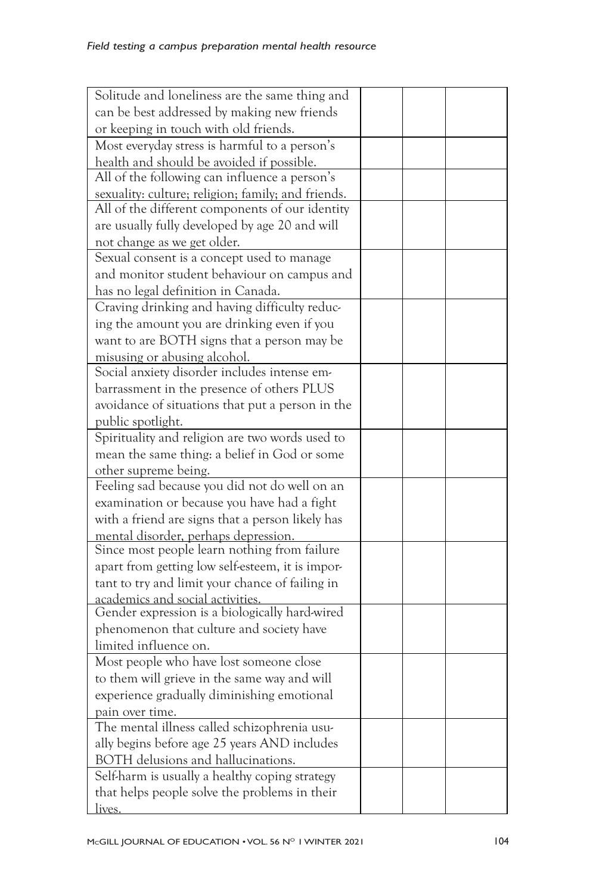| Solitude and loneliness are the same thing and     |  |  |
|----------------------------------------------------|--|--|
| can be best addressed by making new friends        |  |  |
| or keeping in touch with old friends.              |  |  |
| Most everyday stress is harmful to a person's      |  |  |
| health and should be avoided if possible.          |  |  |
| All of the following can influence a person's      |  |  |
| sexuality: culture; religion; family; and friends. |  |  |
| All of the different components of our identity    |  |  |
| are usually fully developed by age 20 and will     |  |  |
| not change as we get older.                        |  |  |
| Sexual consent is a concept used to manage         |  |  |
| and monitor student behaviour on campus and        |  |  |
| has no legal definition in Canada.                 |  |  |
| Craving drinking and having difficulty reduc-      |  |  |
| ing the amount you are drinking even if you        |  |  |
| want to are BOTH signs that a person may be        |  |  |
| misusing or abusing alcohol.                       |  |  |
| Social anxiety disorder includes intense em-       |  |  |
| barrassment in the presence of others PLUS         |  |  |
| avoidance of situations that put a person in the   |  |  |
| public spotlight.                                  |  |  |
| Spirituality and religion are two words used to    |  |  |
| mean the same thing: a belief in God or some       |  |  |
| other supreme being.                               |  |  |
| Feeling sad because you did not do well on an      |  |  |
| examination or because you have had a fight        |  |  |
| with a friend are signs that a person likely has   |  |  |
| mental disorder, perhaps depression.               |  |  |
| Since most people learn nothing from failure       |  |  |
| apart from getting low self-esteem, it is impor-   |  |  |
| tant to try and limit your chance of failing in    |  |  |
| academics and social activities.                   |  |  |
| Gender expression is a biologically hard-wired     |  |  |
| phenomenon that culture and society have           |  |  |
| limited influence on.                              |  |  |
| Most people who have lost someone close            |  |  |
| to them will grieve in the same way and will       |  |  |
| experience gradually diminishing emotional         |  |  |
| pain over time.                                    |  |  |
| The mental illness called schizophrenia usu-       |  |  |
| ally begins before age 25 years AND includes       |  |  |
| BOTH delusions and hallucinations.                 |  |  |
| Self-harm is usually a healthy coping strategy     |  |  |
| that helps people solve the problems in their      |  |  |
| lives.                                             |  |  |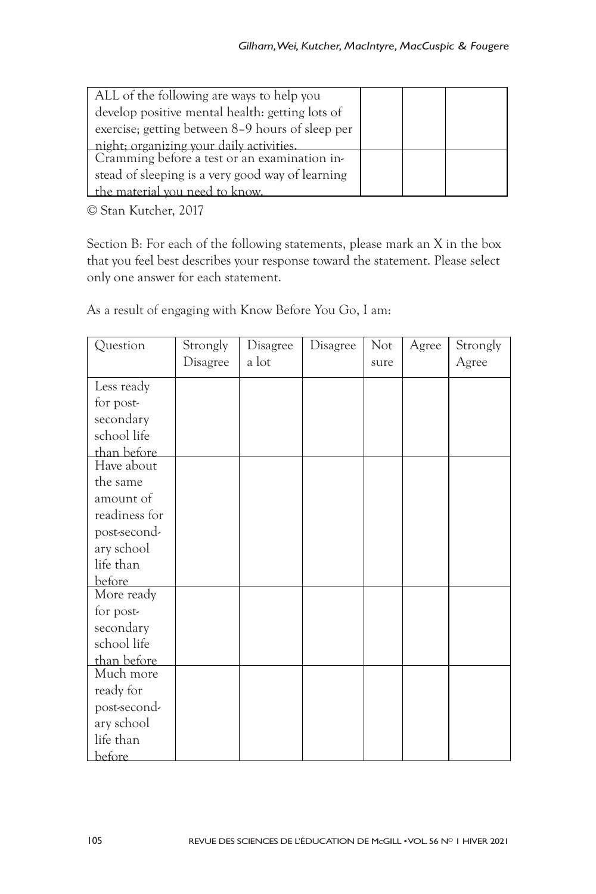| ALL of the following are ways to help you        |  |  |
|--------------------------------------------------|--|--|
| develop positive mental health: getting lots of  |  |  |
| exercise; getting between 8-9 hours of sleep per |  |  |
| night; organizing your daily activities.         |  |  |
| Cramming before a test or an examination in-     |  |  |
| stead of sleeping is a very good way of learning |  |  |
| the material you need to know.                   |  |  |

© Stan Kutcher, 2017

Section B: For each of the following statements, please mark an X in the box that you feel best describes your response toward the statement. Please select only one answer for each statement.

As a result of engaging with Know Before You Go, I am:

| Question      | Strongly | Disagree | Disagree | N <sub>ot</sub> | Agree | Strongly |
|---------------|----------|----------|----------|-----------------|-------|----------|
|               | Disagree | a lot    |          | sure            |       | Agree    |
| Less ready    |          |          |          |                 |       |          |
| for post-     |          |          |          |                 |       |          |
| secondary     |          |          |          |                 |       |          |
| school life   |          |          |          |                 |       |          |
| than before   |          |          |          |                 |       |          |
| Have about    |          |          |          |                 |       |          |
| the same      |          |          |          |                 |       |          |
| amount of     |          |          |          |                 |       |          |
| readiness for |          |          |          |                 |       |          |
| post-second-  |          |          |          |                 |       |          |
| ary school    |          |          |          |                 |       |          |
| life than     |          |          |          |                 |       |          |
| <b>before</b> |          |          |          |                 |       |          |
| More ready    |          |          |          |                 |       |          |
| for post-     |          |          |          |                 |       |          |
| secondary     |          |          |          |                 |       |          |
| school life   |          |          |          |                 |       |          |
| than before   |          |          |          |                 |       |          |
| Much more     |          |          |          |                 |       |          |
| ready for     |          |          |          |                 |       |          |
| post-second-  |          |          |          |                 |       |          |
| ary school    |          |          |          |                 |       |          |
| life than     |          |          |          |                 |       |          |
| before        |          |          |          |                 |       |          |